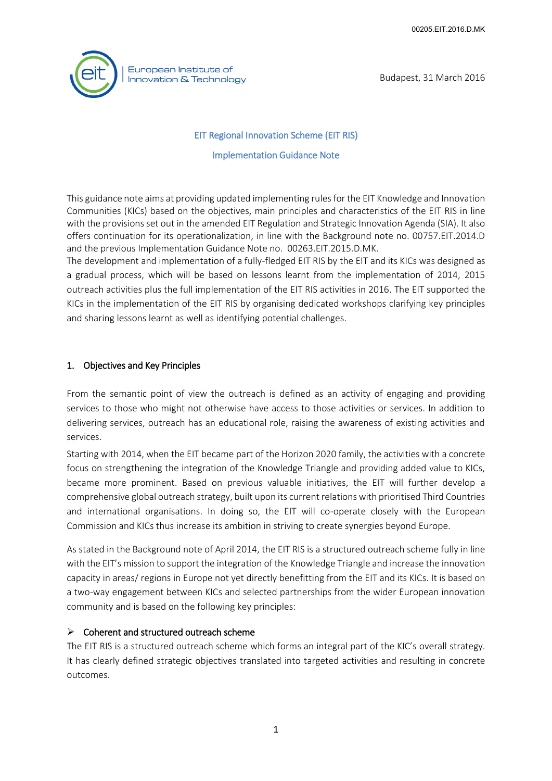

Budapest, 31 March 2016

# EIT Regional Innovation Scheme (EIT RIS) Implementation Guidance Note

This guidance note aims at providing updated implementing rules for the EIT Knowledge and Innovation Communities (KICs) based on the objectives, main principles and characteristics of the EIT RIS in line with the provisions set out in the amended EIT Regulation and Strategic Innovation Agenda (SIA). It also offers continuation for its operationalization, in line with the Background note no. 00757.EIT.2014.D and the previous Implementation Guidance Note no. 00263.EIT.2015.D.MK.

The development and implementation of a fully-fledged EIT RIS by the EIT and its KICs was designed as a gradual process, which will be based on lessons learnt from the implementation of 2014, 2015 outreach activities plus the full implementation of the EIT RIS activities in 2016. The EIT supported the KICs in the implementation of the EIT RIS by organising dedicated workshops clarifying key principles and sharing lessons learnt as well as identifying potential challenges.

## 1. Objectives and Key Principles

From the semantic point of view the outreach is defined as an activity of engaging and providing services to those who might not otherwise have access to those activities or services. In addition to delivering services, outreach has an educational role, raising the awareness of existing activities and services.

Starting with 2014, when the EIT became part of the Horizon 2020 family, the activities with a concrete focus on strengthening the integration of the Knowledge Triangle and providing added value to KICs, became more prominent. Based on previous valuable initiatives, the EIT will further develop a comprehensive global outreach strategy, built upon its current relations with prioritised Third Countries and international organisations. In doing so, the EIT will co-operate closely with the European Commission and KICs thus increase its ambition in striving to create synergies beyond Europe.

As stated in the Background note of April 2014, the EIT RIS is a structured outreach scheme fully in line with the EIT's mission to support the integration of the Knowledge Triangle and increase the innovation capacity in areas/ regions in Europe not yet directly benefitting from the EIT and its KICs. It is based on a two-way engagement between KICs and selected partnerships from the wider European innovation community and is based on the following key principles:

#### $\triangleright$  Coherent and structured outreach scheme

The EIT RIS is a structured outreach scheme which forms an integral part of the KIC's overall strategy. It has clearly defined strategic objectives translated into targeted activities and resulting in concrete outcomes.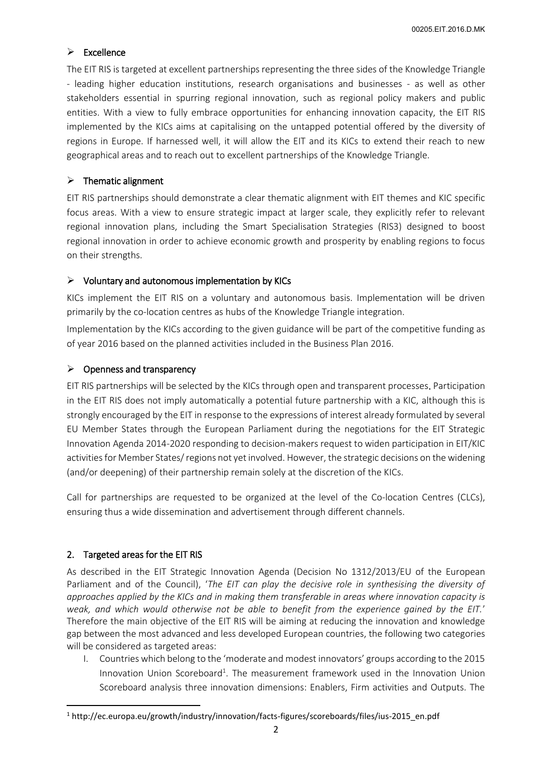### $\triangleright$  Excellence

The EIT RIS is targeted at excellent partnerships representing the three sides of the Knowledge Triangle - leading higher education institutions, research organisations and businesses - as well as other stakeholders essential in spurring regional innovation, such as regional policy makers and public entities. With a view to fully embrace opportunities for enhancing innovation capacity, the EIT RIS implemented by the KICs aims at capitalising on the untapped potential offered by the diversity of regions in Europe. If harnessed well, it will allow the EIT and its KICs to extend their reach to new geographical areas and to reach out to excellent partnerships of the Knowledge Triangle.

#### $\triangleright$  Thematic alignment

EIT RIS partnerships should demonstrate a clear thematic alignment with EIT themes and KIC specific focus areas. With a view to ensure strategic impact at larger scale, they explicitly refer to relevant regional innovation plans, including the Smart Specialisation Strategies (RIS3) designed to boost regional innovation in order to achieve economic growth and prosperity by enabling regions to focus on their strengths.

## $\triangleright$  Voluntary and autonomous implementation by KICs

KICs implement the EIT RIS on a voluntary and autonomous basis. Implementation will be driven primarily by the co-location centres as hubs of the Knowledge Triangle integration.

Implementation by the KICs according to the given guidance will be part of the competitive funding as of year 2016 based on the planned activities included in the Business Plan 2016.

## $\triangleright$  Openness and transparency

EIT RIS partnerships will be selected by the KICs through open and transparent processes. Participation in the EIT RIS does not imply automatically a potential future partnership with a KIC, although this is strongly encouraged by the EIT in response to the expressions of interest already formulated by several EU Member States through the European Parliament during the negotiations for the EIT Strategic Innovation Agenda 2014-2020 responding to decision-makers request to widen participation in EIT/KIC activities for Member States/ regions not yet involved. However, the strategic decisions on the widening (and/or deepening) of their partnership remain solely at the discretion of the KICs.

Call for partnerships are requested to be organized at the level of the Co-location Centres (CLCs), ensuring thus a wide dissemination and advertisement through different channels.

# 2. Targeted areas for the EIT RIS

**.** 

As described in the EIT Strategic Innovation Agenda (Decision No 1312/2013/EU of the European Parliament and of the Council), '*The EIT can play the decisive role in synthesising the diversity of approaches applied by the KICs and in making them transferable in areas where innovation capacity is weak, and which would otherwise not be able to benefit from the experience gained by the EIT.*' Therefore the main objective of the EIT RIS will be aiming at reducing the innovation and knowledge gap between the most advanced and less developed European countries, the following two categories will be considered as targeted areas:

I. Countries which belong to the 'moderate and modest innovators' groups according to the 2015 Innovation Union Scoreboard<sup>1</sup>. The measurement framework used in the Innovation Union Scoreboard analysis three innovation dimensions: Enablers, Firm activities and Outputs. The

<sup>1</sup> http://ec.europa.eu/growth/industry/innovation/facts-figures/scoreboards/files/ius-2015\_en.pdf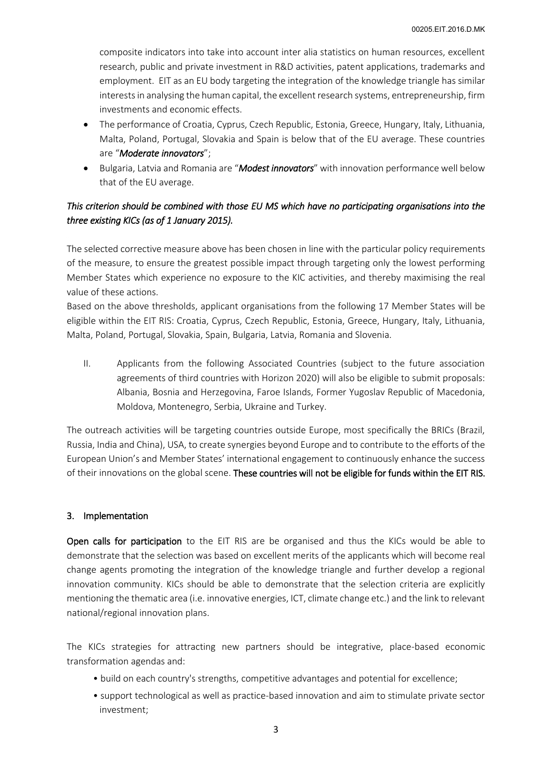composite indicators into take into account inter alia statistics on human resources, excellent research, public and private investment in R&D activities, patent applications, trademarks and employment. EIT as an EU body targeting the integration of the knowledge triangle has similar interests in analysing the human capital, the excellent research systems, entrepreneurship, firm investments and economic effects.

- The performance of Croatia, Cyprus, Czech Republic, Estonia, Greece, Hungary, Italy, Lithuania, Malta, Poland, Portugal, Slovakia and Spain is below that of the EU average. These countries are "*Moderate innovators*";
- Bulgaria, Latvia and Romania are "*Modest innovators*" with innovation performance well below that of the EU average.

# *This criterion should be combined with those EU MS which have no participating organisations into the three existing KICs (as of 1 January 2015).*

The selected corrective measure above has been chosen in line with the particular policy requirements of the measure, to ensure the greatest possible impact through targeting only the lowest performing Member States which experience no exposure to the KIC activities, and thereby maximising the real value of these actions.

Based on the above thresholds, applicant organisations from the following 17 Member States will be eligible within the EIT RIS: Croatia, Cyprus, Czech Republic, Estonia, Greece, Hungary, Italy, Lithuania, Malta, Poland, Portugal, Slovakia, Spain, Bulgaria, Latvia, Romania and Slovenia.

II. Applicants from the following Associated Countries (subject to the future association agreements of third countries with Horizon 2020) will also be eligible to submit proposals: Albania, Bosnia and Herzegovina, Faroe Islands, Former Yugoslav Republic of Macedonia, Moldova, Montenegro, Serbia, Ukraine and Turkey.

The outreach activities will be targeting countries outside Europe, most specifically the BRICs (Brazil, Russia, India and China), USA, to create synergies beyond Europe and to contribute to the efforts of the European Union's and Member States' international engagement to continuously enhance the success of their innovations on the global scene. These countries will not be eligible for funds within the EIT RIS.

#### 3. Implementation

Open calls for participation to the EIT RIS are be organised and thus the KICs would be able to demonstrate that the selection was based on excellent merits of the applicants which will become real change agents promoting the integration of the knowledge triangle and further develop a regional innovation community. KICs should be able to demonstrate that the selection criteria are explicitly mentioning the thematic area (i.e. innovative energies, ICT, climate change etc.) and the link to relevant national/regional innovation plans.

The KICs strategies for attracting new partners should be integrative, place-based economic transformation agendas and:

- build on each country's strengths, competitive advantages and potential for excellence;
- support technological as well as practice-based innovation and aim to stimulate private sector investment;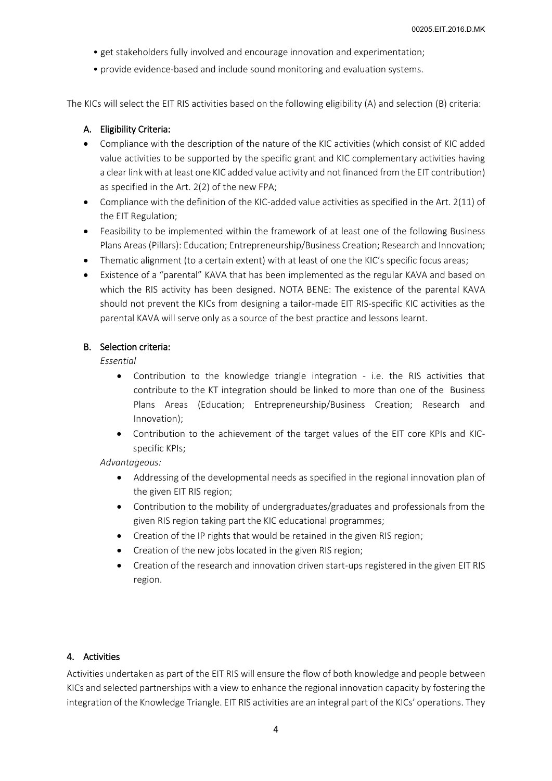- get stakeholders fully involved and encourage innovation and experimentation;
- provide evidence-based and include sound monitoring and evaluation systems.

The KICs will select the EIT RIS activities based on the following eligibility (A) and selection (B) criteria:

### A. Eligibility Criteria:

- Compliance with the description of the nature of the KIC activities (which consist of KIC added value activities to be supported by the specific grant and KIC complementary activities having a clear link with at least one KIC added value activity and not financed from the EIT contribution) as specified in the Art. 2(2) of the new FPA;
- Compliance with the definition of the KIC-added value activities as specified in the Art. 2(11) of the EIT Regulation;
- Feasibility to be implemented within the framework of at least one of the following Business Plans Areas (Pillars): Education; Entrepreneurship/Business Creation; Research and Innovation;
- Thematic alignment (to a certain extent) with at least of one the KIC's specific focus areas;
- Existence of a "parental" KAVA that has been implemented as the regular KAVA and based on which the RIS activity has been designed. NOTA BENE: The existence of the parental KAVA should not prevent the KICs from designing a tailor-made EIT RIS-specific KIC activities as the parental KAVA will serve only as a source of the best practice and lessons learnt.

#### B. Selection criteria:

*Essential* 

- Contribution to the knowledge triangle integration i.e. the RIS activities that contribute to the KT integration should be linked to more than one of the Business Plans Areas (Education; Entrepreneurship/Business Creation; Research and Innovation);
- Contribution to the achievement of the target values of the EIT core KPIs and KICspecific KPIs;

*Advantageous:* 

- Addressing of the developmental needs as specified in the regional innovation plan of the given EIT RIS region;
- Contribution to the mobility of undergraduates/graduates and professionals from the given RIS region taking part the KIC educational programmes;
- Creation of the IP rights that would be retained in the given RIS region;
- Creation of the new jobs located in the given RIS region;
- Creation of the research and innovation driven start-ups registered in the given EIT RIS region.

#### 4. Activities

Activities undertaken as part of the EIT RIS will ensure the flow of both knowledge and people between KICs and selected partnerships with a view to enhance the regional innovation capacity by fostering the integration of the Knowledge Triangle. EIT RIS activities are an integral part of the KICs' operations. They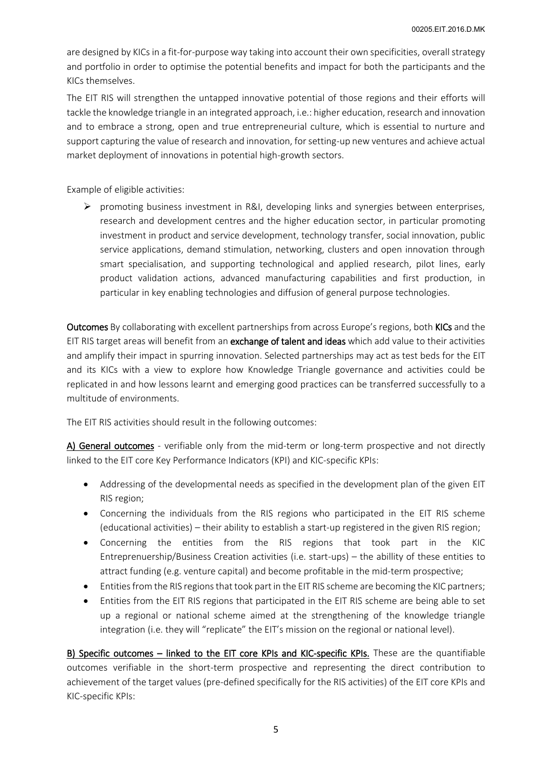are designed by KICs in a fit-for-purpose way taking into account their own specificities, overall strategy and portfolio in order to optimise the potential benefits and impact for both the participants and the KICs themselves.

The EIT RIS will strengthen the untapped innovative potential of those regions and their efforts will tackle the knowledge triangle in an integrated approach, i.e.: higher education, research and innovation and to embrace a strong, open and true entrepreneurial culture, which is essential to nurture and support capturing the value of research and innovation, for setting-up new ventures and achieve actual market deployment of innovations in potential high-growth sectors.

Example of eligible activities:

 $\triangleright$  promoting business investment in R&I, developing links and synergies between enterprises, research and development centres and the higher education sector, in particular promoting investment in product and service development, technology transfer, social innovation, public service applications, demand stimulation, networking, clusters and open innovation through smart specialisation, and supporting technological and applied research, pilot lines, early product validation actions, advanced manufacturing capabilities and first production, in particular in key enabling technologies and diffusion of general purpose technologies.

Outcomes By collaborating with excellent partnerships from across Europe's regions, both KICs and the EIT RIS target areas will benefit from an exchange of talent and ideas which add value to their activities and amplify their impact in spurring innovation. Selected partnerships may act as test beds for the EIT and its KICs with a view to explore how Knowledge Triangle governance and activities could be replicated in and how lessons learnt and emerging good practices can be transferred successfully to a multitude of environments.

The EIT RIS activities should result in the following outcomes:

A) General outcomes - verifiable only from the mid-term or long-term prospective and not directly linked to the EIT core Key Performance Indicators (KPI) and KIC-specific KPIs:

- Addressing of the developmental needs as specified in the development plan of the given EIT RIS region;
- Concerning the individuals from the RIS regions who participated in the EIT RIS scheme (educational activities) – their ability to establish a start-up registered in the given RIS region;
- Concerning the entities from the RIS regions that took part in the KIC Entreprenuership/Business Creation activities (i.e. start-ups) – the abillity of these entities to attract funding (e.g. venture capital) and become profitable in the mid-term prospective;
- Entities from the RIS regions that took part in the EIT RIS scheme are becoming the KIC partners;
- Entities from the EIT RIS regions that participated in the EIT RIS scheme are being able to set up a regional or national scheme aimed at the strengthening of the knowledge triangle integration (i.e. they will "replicate" the EIT's mission on the regional or national level).

B) Specific outcomes - linked to the EIT core KPIs and KIC-specific KPIs. These are the quantifiable outcomes verifiable in the short-term prospective and representing the direct contribution to achievement of the target values (pre-defined specifically for the RIS activities) of the EIT core KPIs and KIC-specific KPIs: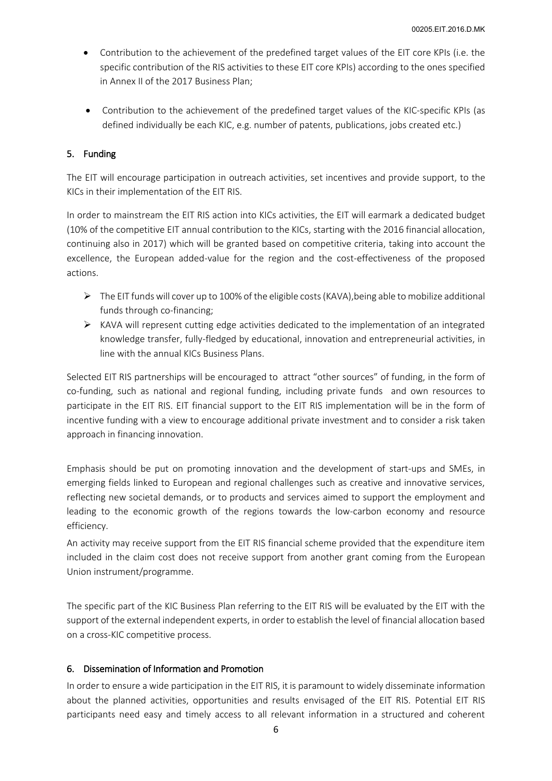- Contribution to the achievement of the predefined target values of the EIT core KPIs (i.e. the specific contribution of the RIS activities to these EIT core KPIs) according to the ones specified in Annex II of the 2017 Business Plan;
- Contribution to the achievement of the predefined target values of the KIC-specific KPIs (as defined individually be each KIC, e.g. number of patents, publications, jobs created etc.)

#### 5. Funding

The EIT will encourage participation in outreach activities, set incentives and provide support, to the KICs in their implementation of the EIT RIS.

In order to mainstream the EIT RIS action into KICs activities, the EIT will earmark a dedicated budget (10% of the competitive EIT annual contribution to the KICs, starting with the 2016 financial allocation, continuing also in 2017) which will be granted based on competitive criteria, taking into account the excellence, the European added-value for the region and the cost-effectiveness of the proposed actions.

- $\triangleright$  The EIT funds will cover up to 100% of the eligible costs (KAVA), being able to mobilize additional funds through co-financing;
- $\triangleright$  KAVA will represent cutting edge activities dedicated to the implementation of an integrated knowledge transfer, fully-fledged by educational, innovation and entrepreneurial activities, in line with the annual KICs Business Plans.

Selected EIT RIS partnerships will be encouraged to attract "other sources" of funding, in the form of co-funding, such as national and regional funding, including private funds and own resources to participate in the EIT RIS. EIT financial support to the EIT RIS implementation will be in the form of incentive funding with a view to encourage additional private investment and to consider a risk taken approach in financing innovation.

Emphasis should be put on promoting innovation and the development of start-ups and SMEs, in emerging fields linked to European and regional challenges such as creative and innovative services, reflecting new societal demands, or to products and services aimed to support the employment and leading to the economic growth of the regions towards the low-carbon economy and resource efficiency.

An activity may receive support from the EIT RIS financial scheme provided that the expenditure item included in the claim cost does not receive support from another grant coming from the European Union instrument/programme.

The specific part of the KIC Business Plan referring to the EIT RIS will be evaluated by the EIT with the support of the external independent experts, in order to establish the level of financial allocation based on a cross-KIC competitive process.

#### 6. Dissemination of Information and Promotion

In order to ensure a wide participation in the EIT RIS, it is paramount to widely disseminate information about the planned activities, opportunities and results envisaged of the EIT RIS. Potential EIT RIS participants need easy and timely access to all relevant information in a structured and coherent